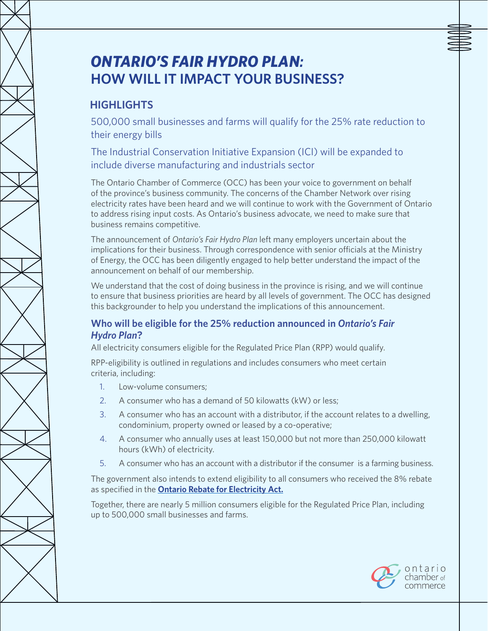# *Ontario's Fair Hydro Plan:* **How Will It Impact Your Business?**

## **Highlights**

500,000 small businesses and farms will qualify for the 25% rate reduction to their energy bills

The Industrial Conservation Initiative Expansion (ICI) will be expanded to include diverse manufacturing and industrials sector

The Ontario Chamber of Commerce (OCC) has been your voice to government on behalf of the province's business community. The concerns of the Chamber Network over rising electricity rates have been heard and we will continue to work with the Government of Ontario to address rising input costs. As Ontario's business advocate, we need to make sure that business remains competitive.

The announcement of *Ontario's Fair Hydro Plan* left many employers uncertain about the implications for their business. Through correspondence with senior officials at the Ministry of Energy, the OCC has been diligently engaged to help better understand the impact of the announcement on behalf of our membership.

We understand that the cost of doing business in the province is rising, and we will continue to ensure that business priorities are heard by all levels of government. The OCC has designed this backgrounder to help you understand the implications of this announcement.

### **Who will be eligible for the 25% reduction announced in** *Ontario's Fair Hydro Plan***?**

All electricity consumers eligible for the Regulated Price Plan (RPP) would qualify.

RPP-eligibility is outlined in regulations and includes consumers who meet certain criteria, including:

- 1. Low-volume consumers;
- 2. A consumer who has a demand of 50 kilowatts (kW) or less;
- 3. A consumer who has an account with a distributor, if the account relates to a dwelling, condominium, property owned or leased by a co-operative;
- 4. A consumer who annually uses at least 150,000 but not more than 250,000 kilowatt hours (kWh) of electricity.
- 5. A consumer who has an account with a distributor if the consumer is a farming business.

The government also intends to extend eligibility to all consumers who received the 8% rebate as specified in the **[Ontario Rebate for Electricity Act.](https://www.ontario.ca/laws/statute/16o19)**

Together, there are nearly 5 million consumers eligible for the Regulated Price Plan, including up to 500,000 small businesses and farms.